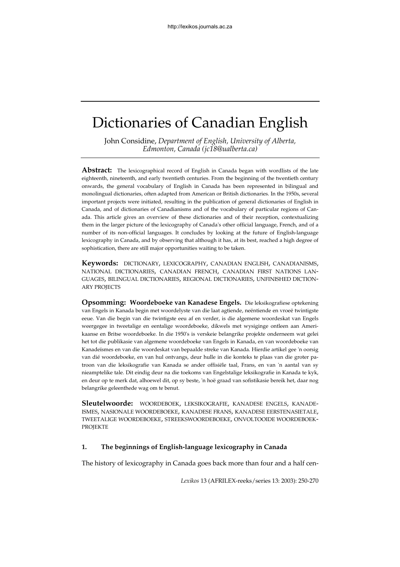John Considine, *Department of English, University of Alberta, Edmonton, Canada (jc18@ualberta.ca)* 

Abstract: The lexicographical record of English in Canada began with wordlists of the late eighteenth, nineteenth, and early twentieth centuries. From the beginning of the twentieth century onwards, the general vocabulary of English in Canada has been represented in bilingual and monolingual dictionaries, often adapted from American or British dictionaries. In the 1950s, several important projects were initiated, resulting in the publication of general dictionaries of English in Canada, and of dictionaries of Canadianisms and of the vocabulary of particular regions of Canada. This article gives an overview of these dictionaries and of their reception, contextualizing them in the larger picture of the lexicography of Canada's other official language, French, and of a number of its non-official languages. It concludes by looking at the future of English-language lexicography in Canada, and by observing that although it has, at its best, reached a high degree of sophistication, there are still major opportunities waiting to be taken.

**Keywords:** DICTIONARY, LEXICOGRAPHY, CANADIAN ENGLISH, CANADIANISMS, NATIONAL DICTIONARIES, CANADIAN FRENCH, CANADIAN FIRST NATIONS LAN-GUAGES, BILINGUAL DICTIONARIES, REGIONAL DICTIONARIES, UNFINISHED DICTION-ARY PROJECTS

**Opsomming: Woordeboeke van Kanadese Engels.** Die leksikografiese optekening van Engels in Kanada begin met woordelyste van die laat agtiende, neëntiende en vroeë twintigste eeue. Van die begin van die twintigste eeu af en verder, is die algemene woordeskat van Engels weergegee in tweetalige en eentalige woordeboeke, dikwels met wysiginge ontleen aan Amerikaanse en Britse woordeboeke. In die 1950's is verskeie belangrike projekte onderneem wat gelei het tot die publikasie van algemene woordeboeke van Engels in Kanada, en van woordeboeke van Kanadeïsmes en van die woordeskat van bepaalde streke van Kanada. Hierdie artikel gee 'n oorsig van dié woordeboeke, en van hul ontvangs, deur hulle in die konteks te plaas van die groter patroon van die leksikografie van Kanada se ander offisiële taal, Frans, en van 'n aantal van sy nieamptelike tale. Dit eindig deur na die toekoms van Engelstalige leksikografie in Kanada te kyk, en deur op te merk dat, alhoewel dit, op sy beste, 'n hoë graad van sofistikasie bereik het, daar nog belangrike geleenthede wag om te benut.

**Sleutelwoorde:** WOORDEBOEK, LEKSIKOGRAFIE, KANADESE ENGELS, KANADE-ISMES, NASIONALE WOORDEBOEKE, KANADESE FRANS, KANADESE EERSTENASIETALE, TWEETALIGE WOORDEBOEKE, STREEKSWOORDEBOEKE, ONVOLTOOIDE WOORDEBOEK-PROJEKTE

# **1. The beginnings of English-language lexicography in Canada**

The history of lexicography in Canada goes back more than four and a half cen-

*Lexikos* 13 (AFRILEX-reeks/series 13: 2003): 250-270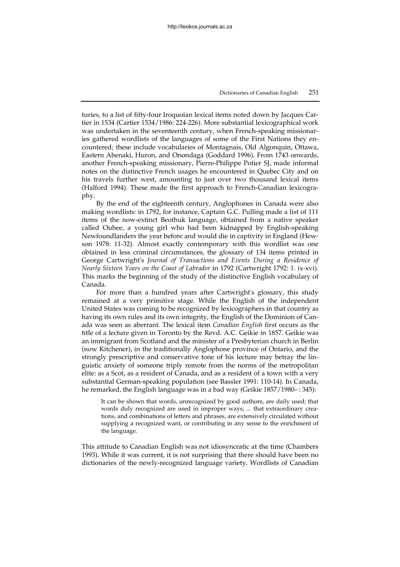turies, to a list of fifty-four Iroquoian lexical items noted down by Jacques Cartier in 1534 (Cartier 1534/1986: 224-226). More substantial lexicographical work was undertaken in the seventeenth century, when French-speaking missionaries gathered wordlists of the languages of some of the First Nations they encountered; these include vocabularies of Montagnais, Old Algonquin, Ottawa, Eastern Abenaki, Huron, and Onondaga (Goddard 1996). From 1743 onwards, another French-speaking missionary, Pierre-Philippe Potier SJ, made informal notes on the distinctive French usages he encountered in Quebec City and on his travels further west, amounting to just over two thousand lexical items (Halford 1994). These made the first approach to French-Canadian lexicography.

By the end of the eighteenth century, Anglophones in Canada were also making wordlists: in 1792, for instance, Captain G.C. Pulling made a list of 111 items of the now-extinct Beothuk language, obtained from a native speaker called Oubee, a young girl who had been kidnapped by English-speaking Newfoundlanders the year before and would die in captivity in England (Hewson 1978: 11-32). Almost exactly contemporary with this wordlist was one obtained in less criminal circumstances, the glossary of 134 items printed in George Cartwright's *Journal of Transactions and Events During a Residence of Nearly Sixteen Years on the Coast of Labrador* in 1792 (Cartwright 1792: 1. ix-xvi). This marks the beginning of the study of the distinctive English vocabulary of Canada.

For more than a hundred years after Cartwright's glossary, this study remained at a very primitive stage. While the English of the independent United States was coming to be recognized by lexicographers in that country as having its own rules and its own integrity, the English of the Dominion of Canada was seen as aberrant. The lexical item *Canadian English* first occurs as the title of a lecture given in Toronto by the Revd. A.C. Geikie in 1857. Geikie was an immigrant from Scotland and the minister of a Presbyterian church in Berlin (now Kitchener), in the traditionally Anglophone province of Ontario, and the strongly prescriptive and conservative tone of his lecture may betray the linguistic anxiety of someone triply remote from the norms of the metropolitan elite: as a Scot, as a resident of Canada, and as a resident of a town with a very substantial German-speaking population (see Bassler 1991: 110-14). In Canada, he remarked, the English language was in a bad way (Geikie 1857/1980–: 345):

 It can be shown that words, unrecognized by good authors, are daily used; that words duly recognized are used in improper ways; ... that extraordinary creations, and combinations of letters and phrases, are extensively circulated without supplying a recognized want, or contributing in any sense to the enrichment of the language.

This attitude to Canadian English was not idiosyncratic at the time (Chambers 1993). While it was current, it is not surprising that there should have been no dictionaries of the newly-recognized language variety. Wordlists of Canadian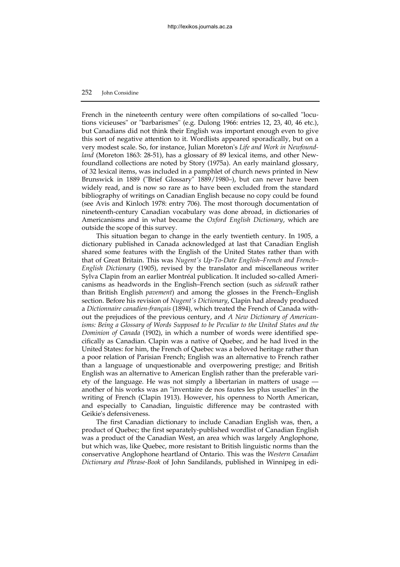French in the nineteenth century were often compilations of so-called "locutions vicieuses" or "barbarismes" (e.g. Dulong 1966: entries 12, 23, 40, 46 etc.), but Canadians did not think their English was important enough even to give this sort of negative attention to it. Wordlists appeared sporadically, but on a very modest scale. So, for instance, Julian Moreton's *Life and Work in Newfoundland* (Moreton 1863: 28-51), has a glossary of 89 lexical items, and other Newfoundland collections are noted by Story (1975a). An early mainland glossary, of 32 lexical items, was included in a pamphlet of church news printed in New Brunswick in 1889 ("Brief Glossary" 1889/1980–), but can never have been widely read, and is now so rare as to have been excluded from the standard bibliography of writings on Canadian English because no copy could be found (see Avis and Kinloch 1978: entry 706). The most thorough documentation of nineteenth-century Canadian vocabulary was done abroad, in dictionaries of Americanisms and in what became the *Oxford English Dictionary*, which are outside the scope of this survey.

This situation began to change in the early twentieth century. In 1905, a dictionary published in Canada acknowledged at last that Canadian English shared some features with the English of the United States rather than with that of Great Britain. This was *Nugent's Up-To-Date English–French and French– English Dictionary* (1905), revised by the translator and miscellaneous writer Sylva Clapin from an earlier Montréal publication. It included so-called Americanisms as headwords in the English–French section (such as *sidewalk* rather than British English *pavement*) and among the glosses in the French–English section. Before his revision of *Nugent's Dictionary*, Clapin had already produced a *Dictionnaire canadien-français* (1894), which treated the French of Canada without the prejudices of the previous century, and *A New Dictionary of Americanisms: Being a Glossary of Words Supposed to be Peculiar to the United States and the Dominion of Canada* (1902), in which a number of words were identified specifically as Canadian. Clapin was a native of Quebec, and he had lived in the United States: for him, the French of Quebec was a beloved heritage rather than a poor relation of Parisian French; English was an alternative to French rather than a language of unquestionable and overpowering prestige; and British English was an alternative to American English rather than the preferable variety of the language. He was not simply a libertarian in matters of usage another of his works was an "inventaire de nos fautes les plus usuelles" in the writing of French (Clapin 1913). However, his openness to North American, and especially to Canadian, linguistic difference may be contrasted with Geikie's defensiveness.

The first Canadian dictionary to include Canadian English was, then, a product of Quebec; the first separately-published wordlist of Canadian English was a product of the Canadian West, an area which was largely Anglophone, but which was, like Quebec, more resistant to British linguistic norms than the conservative Anglophone heartland of Ontario. This was the *Western Canadian Dictionary and Phrase-Book* of John Sandilands, published in Winnipeg in edi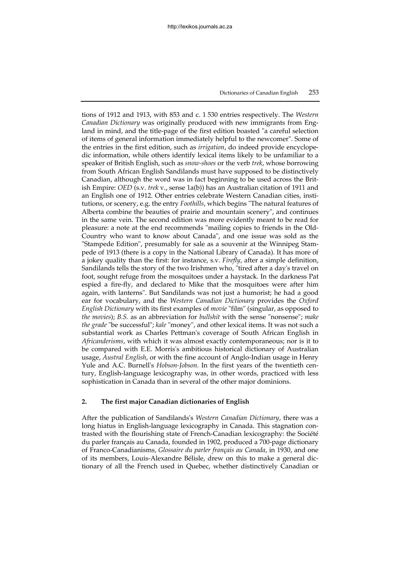tions of 1912 and 1913, with 853 and c. 1 530 entries respectively. The *Western Canadian Dictionary* was originally produced with new immigrants from England in mind, and the title-page of the first edition boasted "a careful selection of items of general information immediately helpful to the newcomer". Some of the entries in the first edition, such as *irrigation*, do indeed provide encyclopedic information, while others identify lexical items likely to be unfamiliar to a speaker of British English, such as *snow-shoes* or the verb *trek*, whose borrowing from South African English Sandilands must have supposed to be distinctively Canadian, although the word was in fact beginning to be used across the British Empire: *OED* (s.v. *trek* v., sense 1a(b)) has an Australian citation of 1911 and an English one of 1912. Other entries celebrate Western Canadian cities, institutions, or scenery, e.g. the entry *Foothills*, which begins "The natural features of Alberta combine the beauties of prairie and mountain scenery", and continues in the same vein. The second edition was more evidently meant to be read for pleasure: a note at the end recommends "mailing copies to friends in the Old-Country who want to know about Canada", and one issue was sold as the "Stampede Edition", presumably for sale as a souvenir at the Winnipeg Stampede of 1913 (there is a copy in the National Library of Canada). It has more of a jokey quality than the first: for instance, s.v. *Firefly*, after a simple definition, Sandilands tells the story of the two Irishmen who, "tired after a day's travel on foot, sought refuge from the mosquitoes under a haystack. In the darkness Pat espied a fire-fly, and declared to Mike that the mosquitoes were after him again, with lanterns". But Sandilands was not just a humorist; he had a good ear for vocabulary, and the *Western Canadian Dictionary* provides the *Oxford English Dictionary* with its first examples of *movie* "film" (singular, as opposed to *the movies*); *B.S.* as an abbreviation for *bullshit* with the sense "nonsense"; *make the grade* "be successful"; *kale* "money", and other lexical items. It was not such a substantial work as Charles Pettman's coverage of South African English in *Africanderisms*, with which it was almost exactly contemporaneous; nor is it to be compared with E.E. Morris's ambitious historical dictionary of Australian usage, *Austral English*, or with the fine account of Anglo-Indian usage in Henry Yule and A.C. Burnell's *Hobson-Jobson*. In the first years of the twentieth century, English-language lexicography was, in other words, practiced with less sophistication in Canada than in several of the other major dominions.

### **2. The first major Canadian dictionaries of English**

After the publication of Sandilands's *Western Canadian Dictionary*, there was a long hiatus in English-language lexicography in Canada. This stagnation contrasted with the flourishing state of French-Canadian lexicography: the Société du parler français au Canada, founded in 1902, produced a 700-page dictionary of Franco-Canadianisms, *Glossaire du parler français au Canada*, in 1930, and one of its members, Louis-Alexandre Bélisle, drew on this to make a general dictionary of all the French used in Quebec, whether distinctively Canadian or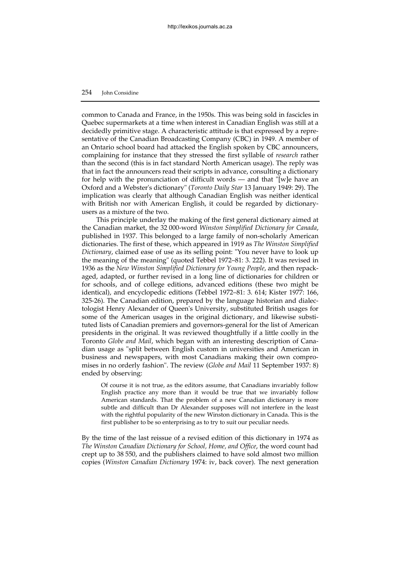common to Canada and France, in the 1950s. This was being sold in fascicles in Quebec supermarkets at a time when interest in Canadian English was still at a decidedly primitive stage. A characteristic attitude is that expressed by a representative of the Canadian Broadcasting Company (CBC) in 1949. A member of an Ontario school board had attacked the English spoken by CBC announcers, complaining for instance that they stressed the first syllable of *research* rather than the second (this is in fact standard North American usage). The reply was that in fact the announcers read their scripts in advance, consulting a dictionary for help with the pronunciation of difficult words — and that "[w]e have an Oxford and a Webster's dictionary" (*Toronto Daily Star* 13 January 1949: 29). The implication was clearly that although Canadian English was neither identical with British nor with American English, it could be regarded by dictionaryusers as a mixture of the two.

This principle underlay the making of the first general dictionary aimed at the Canadian market, the 32 000-word *Winston Simplified Dictionary for Canada*, published in 1937. This belonged to a large family of non-scholarly American dictionaries. The first of these, which appeared in 1919 as *The Winston Simplified Dictionary*, claimed ease of use as its selling point: "You never have to look up the meaning of the meaning" (quoted Tebbel 1972–81: 3. 222). It was revised in 1936 as the *New Winston Simplified Dictionary for Young People*, and then repackaged, adapted, or further revised in a long line of dictionaries for children or for schools, and of college editions, advanced editions (these two might be identical), and encyclopedic editions (Tebbel 1972–81: 3. 614; Kister 1977: 166, 325-26). The Canadian edition, prepared by the language historian and dialectologist Henry Alexander of Queen's University, substituted British usages for some of the American usages in the original dictionary, and likewise substituted lists of Canadian premiers and governors-general for the list of American presidents in the original. It was reviewed thoughtfully if a little coolly in the Toronto *Globe and Mail*, which began with an interesting description of Canadian usage as "split between English custom in universities and American in business and newspapers, with most Canadians making their own compromises in no orderly fashion". The review (*Globe and Mail* 11 September 1937: 8) ended by observing:

Of course it is not true, as the editors assume, that Canadians invariably follow English practice any more than it would be true that we invariably follow American standards. That the problem of a new Canadian dictionary is more subtle and difficult than Dr Alexander supposes will not interfere in the least with the rightful popularity of the new Winston dictionary in Canada. This is the first publisher to be so enterprising as to try to suit our peculiar needs.

By the time of the last reissue of a revised edition of this dictionary in 1974 as *The Winston Canadian Dictionary for School, Home, and Office*, the word count had crept up to 38 550, and the publishers claimed to have sold almost two million copies (*Winston Canadian Dictionary* 1974: iv, back cover). The next generation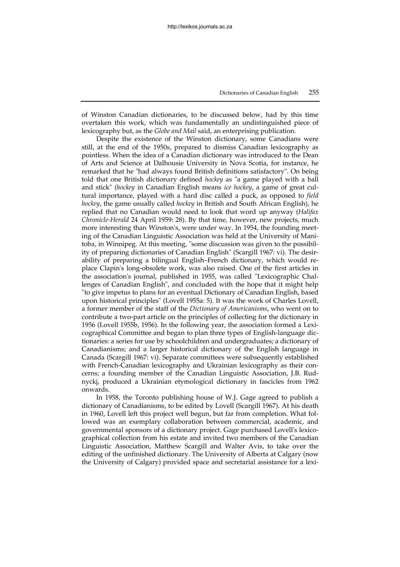of Winston Canadian dictionaries, to be discussed below, had by this time overtaken this work, which was fundamentally an undistinguished piece of lexicography but, as the *Globe and Mail* said, an enterprising publication.

Despite the existence of the Winston dictionary, some Canadians were still, at the end of the 1950s, prepared to dismiss Canadian lexicography as pointless. When the idea of a Canadian dictionary was introduced to the Dean of Arts and Science at Dalhousie University in Nova Scotia, for instance, he remarked that he "had always found British definitions satisfactory". On being told that one British dictionary defined *hockey* as "a game played with a ball and stick" (*hockey* in Canadian English means *ice hockey*, a game of great cultural importance, played with a hard disc called a puck, as opposed to *field hockey*, the game usually called *hockey* in British and South African English), he replied that no Canadian would need to look that word up anyway (*Halifax Chronicle-Herald* 24 April 1959: 28). By that time, however, new projects, much more interesting than Winston's, were under way. In 1954, the founding meeting of the Canadian Linguistic Association was held at the University of Manitoba, in Winnipeg. At this meeting, "some discussion was given to the possibility of preparing dictionaries of Canadian English" (Scargill 1967: vi). The desirability of preparing a bilingual English–French dictionary, which would replace Clapin's long-obsolete work, was also raised. One of the first articles in the association's journal, published in 1955, was called "Lexicographic Challenges of Canadian English", and concluded with the hope that it might help "to give impetus to plans for an eventual Dictionary of Canadian English, based upon historical principles" (Lovell 1955a: 5). It was the work of Charles Lovell, a former member of the staff of the *Dictionary of Americanisms*, who went on to contribute a two-part article on the principles of collecting for the dictionary in 1956 (Lovell 1955b, 1956). In the following year, the association formed a Lexicographical Committee and began to plan three types of English-language dictionaries: a series for use by schoolchildren and undergraduates; a dictionary of Canadianisms; and a larger historical dictionary of the English language in Canada (Scargill 1967: vi). Separate committees were subsequently established with French-Canadian lexicography and Ukrainian lexicography as their concerns; a founding member of the Canadian Linguistic Association, J.B. Rudnyckj, produced a Ukrainian etymological dictionary in fascicles from 1962 onwards.

In 1958, the Toronto publishing house of W.J. Gage agreed to publish a dictionary of Canadianisms, to be edited by Lovell (Scargill 1967). At his death in 1960, Lovell left this project well begun, but far from completion. What followed was an exemplary collaboration between commercial, academic, and governmental sponsors of a dictionary project. Gage purchased Lovell's lexicographical collection from his estate and invited two members of the Canadian Linguistic Association, Matthew Scargill and Walter Avis, to take over the editing of the unfinished dictionary. The University of Alberta at Calgary (now the University of Calgary) provided space and secretarial assistance for a lexi-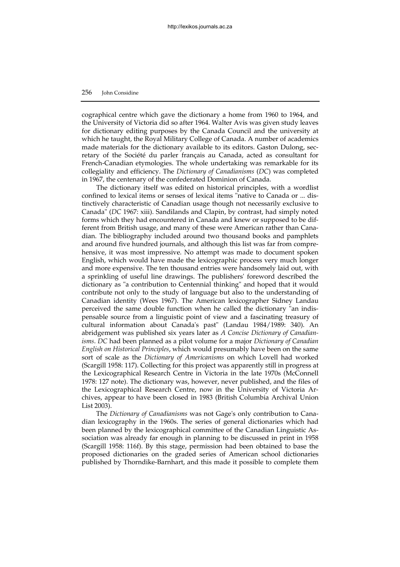cographical centre which gave the dictionary a home from 1960 to 1964, and the University of Victoria did so after 1964. Walter Avis was given study leaves for dictionary editing purposes by the Canada Council and the university at which he taught, the Royal Military College of Canada. A number of academics made materials for the dictionary available to its editors. Gaston Dulong, secretary of the Société du parler français au Canada, acted as consultant for French-Canadian etymologies. The whole undertaking was remarkable for its collegiality and efficiency. The *Dictionary of Canadianisms* (*DC*) was completed in 1967, the centenary of the confederated Dominion of Canada.

The dictionary itself was edited on historical principles, with a wordlist confined to lexical items or senses of lexical items "native to Canada or ... distinctively characteristic of Canadian usage though not necessarily exclusive to Canada" (*DC* 1967: xiii). Sandilands and Clapin, by contrast, had simply noted forms which they had encountered in Canada and knew or supposed to be different from British usage, and many of these were American rather than Canadian. The bibliography included around two thousand books and pamphlets and around five hundred journals, and although this list was far from comprehensive, it was most impressive. No attempt was made to document spoken English, which would have made the lexicographic process very much longer and more expensive. The ten thousand entries were handsomely laid out, with a sprinkling of useful line drawings. The publishers' foreword described the dictionary as "a contribution to Centennial thinking" and hoped that it would contribute not only to the study of language but also to the understanding of Canadian identity (Wees 1967). The American lexicographer Sidney Landau perceived the same double function when he called the dictionary "an indispensable source from a linguistic point of view and a fascinating treasury of cultural information about Canada's past" (Landau 1984/1989: 340). An abridgement was published six years later as *A Concise Dictionary of Canadianisms*. *DC* had been planned as a pilot volume for a major *Dictionary of Canadian English on Historical Principles*, which would presumably have been on the same sort of scale as the *Dictionary of Americanisms* on which Lovell had worked (Scargill 1958: 117). Collecting for this project was apparently still in progress at the Lexicographical Research Centre in Victoria in the late 1970s (McConnell 1978: 127 note). The dictionary was, however, never published, and the files of the Lexicographical Research Centre, now in the University of Victoria Archives, appear to have been closed in 1983 (British Columbia Archival Union List 2003).

The *Dictionary of Canadianisms* was not Gage's only contribution to Canadian lexicography in the 1960s. The series of general dictionaries which had been planned by the lexicographical committee of the Canadian Linguistic Association was already far enough in planning to be discussed in print in 1958 (Scargill 1958: 116f). By this stage, permission had been obtained to base the proposed dictionaries on the graded series of American school dictionaries published by Thorndike-Barnhart, and this made it possible to complete them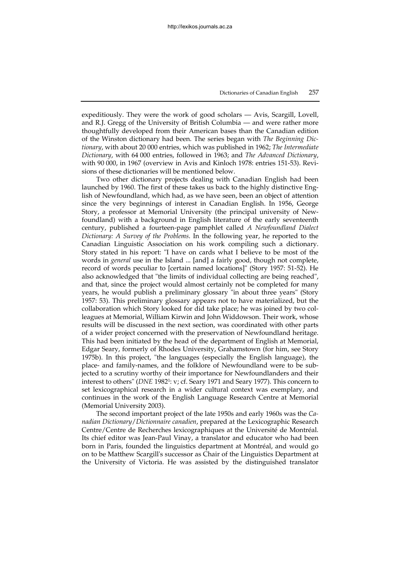expeditiously. They were the work of good scholars — Avis, Scargill, Lovell, and R.J. Gregg of the University of British Columbia — and were rather more thoughtfully developed from their American bases than the Canadian edition of the Winston dictionary had been. The series began with *The Beginning Dictionary*, with about 20 000 entries, which was published in 1962; *The Intermediate Dictionary*, with 64 000 entries, followed in 1963; and *The Advanced Dictionary*, with 90 000, in 1967 (overview in Avis and Kinloch 1978: entries 151-53). Revisions of these dictionaries will be mentioned below.

Two other dictionary projects dealing with Canadian English had been launched by 1960. The first of these takes us back to the highly distinctive English of Newfoundland, which had, as we have seen, been an object of attention since the very beginnings of interest in Canadian English. In 1956, George Story, a professor at Memorial University (the principal university of Newfoundland) with a background in English literature of the early seventeenth century, published a fourteen-page pamphlet called *A Newfoundland Dialect Dictionary: A Survey of the Problems*. In the following year, he reported to the Canadian Linguistic Association on his work compiling such a dictionary. Story stated in his report: "I have on cards what I believe to be most of the words in *general* use in the Island ... [and] a fairly good, though not complete, record of words peculiar to [certain named locations]" (Story 1957: 51-52). He also acknowledged that "the limits of individual collecting are being reached", and that, since the project would almost certainly not be completed for many years, he would publish a preliminary glossary "in about three years" (Story 1957: 53). This preliminary glossary appears not to have materialized, but the collaboration which Story looked for did take place; he was joined by two colleagues at Memorial, William Kirwin and John Widdowson. Their work, whose results will be discussed in the next section, was coordinated with other parts of a wider project concerned with the preservation of Newfoundland heritage. This had been initiated by the head of the department of English at Memorial, Edgar Seary, formerly of Rhodes University, Grahamstown (for him, see Story 1975b). In this project, "the languages (especially the English language), the place- and family-names, and the folklore of Newfoundland were to be subjected to a scrutiny worthy of their importance for Newfoundlanders and their interest to others" (*DNE* 19821: v; cf. Seary 1971 and Seary 1977). This concern to set lexicographical research in a wider cultural context was exemplary, and continues in the work of the English Language Research Centre at Memorial (Memorial University 2003).

The second important project of the late 1950s and early 1960s was the *Canadian Dictionary*/*Dictionnaire canadien*, prepared at the Lexicographic Research Centre/Centre de Recherches lexicographiques at the Université de Montréal. Its chief editor was Jean-Paul Vinay, a translator and educator who had been born in Paris, founded the linguistics department at Montréal, and would go on to be Matthew Scargill's successor as Chair of the Linguistics Department at the University of Victoria. He was assisted by the distinguished translator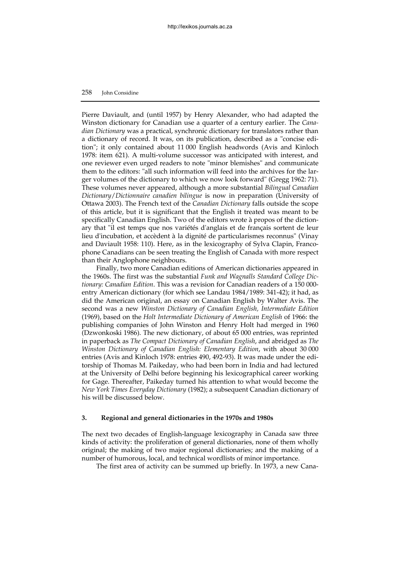Pierre Daviault, and (until 1957) by Henry Alexander, who had adapted the Winston dictionary for Canadian use a quarter of a century earlier. The *Canadian Dictionary* was a practical, synchronic dictionary for translators rather than a dictionary of record. It was, on its publication, described as a "concise edition"; it only contained about 11 000 English headwords (Avis and Kinloch 1978: item 621). A multi-volume successor was anticipated with interest, and one reviewer even urged readers to note "minor blemishes" and communicate them to the editors: "all such information will feed into the archives for the larger volumes of the dictionary to which we now look forward" (Gregg 1962: 71). These volumes never appeared, although a more substantial *Bilingual Canadian Dictionary*/*Dictionnaire canadien bilingue* is now in preparation (University of Ottawa 2003). The French text of the *Canadian Dictionary* falls outside the scope of this article, but it is significant that the English it treated was meant to be specifically Canadian English. Two of the editors wrote à propos of the dictionary that "il est temps que nos variétés d'anglais et de français sortent de leur lieu d'incubation, et accèdent à la dignité de particularismes reconnus" (Vinay and Daviault 1958: 110). Here, as in the lexicography of Sylva Clapin, Francophone Canadians can be seen treating the English of Canada with more respect than their Anglophone neighbours.

Finally, two more Canadian editions of American dictionaries appeared in the 1960s. The first was the substantial *Funk and Wagnalls Standard College Dictionary: Canadian Edition*. This was a revision for Canadian readers of a 150 000 entry American dictionary (for which see Landau 1984/1989: 341-42); it had, as did the American original, an essay on Canadian English by Walter Avis. The second was a new *Winston Dictionary of Canadian English, Intermediate Edition* (1969), based on the *Holt Intermediate Dictionary of American English* of 1966: the publishing companies of John Winston and Henry Holt had merged in 1960 (Dzwonkoski 1986). The new dictionary, of about 65 000 entries, was reprinted in paperback as *The Compact Dictionary of Canadian English*, and abridged as *The Winston Dictionary of Canadian English: Elementary Edition*, with about 30 000 entries (Avis and Kinloch 1978: entries 490, 492-93). It was made under the editorship of Thomas M. Paikeday, who had been born in India and had lectured at the University of Delhi before beginning his lexicographical career working for Gage. Thereafter, Paikeday turned his attention to what would become the *New York Times Everyday Dictionary* (1982); a subsequent Canadian dictionary of his will be discussed below.

#### **3. Regional and general dictionaries in the 1970s and 1980s**

The next two decades of English-language lexicography in Canada saw three kinds of activity: the proliferation of general dictionaries, none of them wholly original; the making of two major regional dictionaries; and the making of a number of humorous, local, and technical wordlists of minor importance.

The first area of activity can be summed up briefly. In 1973, a new Cana-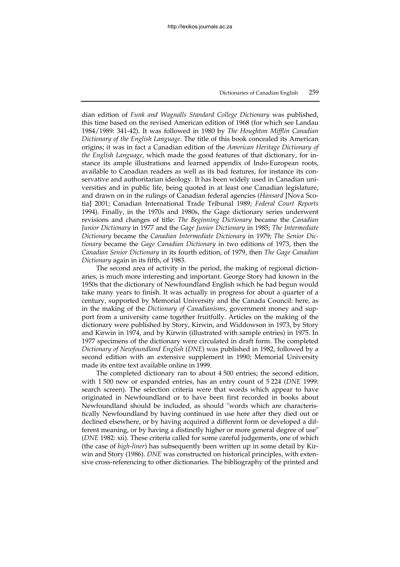dian edition of *Funk and Wagnalls Standard College Dictionary* was published, this time based on the revised American edition of 1968 (for which see Landau 1984/1989: 341-42). It was followed in 1980 by *The Houghton Mifflin Canadian Dictionary of the English Language*. The title of this book concealed its American origins; it was in fact a Canadian edition of the *American Heritage Dictionary of the English Language*, which made the good features of that dictionary, for instance its ample illustrations and learned appendix of Indo-European roots, available to Canadian readers as well as its bad features, for instance its conservative and authoritarian ideology. It has been widely used in Canadian universities and in public life, being quoted in at least one Canadian legislature, and drawn on in the rulings of Canadian federal agencies (*Hansard* [Nova Scotia] 2001; Canadian International Trade Tribunal 1989; *Federal Court Reports* 1994). Finally, in the 1970s and 1980s, the Gage dictionary series underwent revisions and changes of title: *The Beginning Dictionary* became the *Canadian Junior Dictionary* in 1977 and the *Gage Junior Dictionary* in 1985; *The Intermediate Dictionary* became the *Canadian Intermediate Dictionary* in 1979; *The Senior Dictionary* became the *Gage Canadian Dictionary* in two editions of 1973, then the *Canadian Senior Dictionary* in its fourth edition, of 1979, then *The Gage Canadian Dictionary* again in its fifth, of 1983.

The second area of activity in the period, the making of regional dictionaries, is much more interesting and important. George Story had known in the 1950s that the dictionary of Newfoundland English which he had begun would take many years to finish. It was actually in progress for about a quarter of a century, supported by Memorial University and the Canada Council: here, as in the making of the *Dictionary of Canadianisms*, government money and support from a university came together fruitfully. Articles on the making of the dictionary were published by Story, Kirwin, and Widdowson in 1973, by Story and Kirwin in 1974, and by Kirwin (illustrated with sample entries) in 1975. In 1977 specimens of the dictionary were circulated in draft form. The completed *Dictionary of Newfoundland English* (*DNE*) was published in 1982, followed by a second edition with an extensive supplement in 1990; Memorial University made its entire text available online in 1999.

The completed dictionary ran to about 4 500 entries; the second edition, with 1 500 new or expanded entries, has an entry count of 5 224 (*DNE* 1999: search screen). The selection criteria were that words which appear to have originated in Newfoundland or to have been first recorded in books about Newfoundland should be included, as should "words which are characteristically Newfoundland by having continued in use here after they died out or declined elsewhere, or by having acquired a different form or developed a different meaning, or by having a distinctly higher or more general degree of use" (*DNE* 1982: xii). These criteria called for some careful judgements, one of which (the case of *high-liner*) has subsequently been written up in some detail by Kirwin and Story (1986). *DNE* was constructed on historical principles, with extensive cross-referencing to other dictionaries. The bibliography of the printed and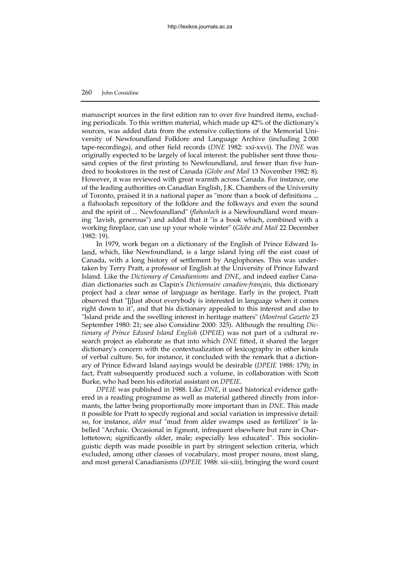manuscript sources in the first edition ran to over five hundred items, excluding periodicals. To this written material, which made up 42% of the dictionary's sources, was added data from the extensive collections of the Memorial University of Newfoundland Folklore and Language Archive (including 2 000 tape-recordings), and other field records (*DNE* 1982: xxi-xxvi). The *DNE* was originally expected to be largely of local interest: the publisher sent three thousand copies of the first printing to Newfoundland, and fewer than five hundred to bookstores in the rest of Canada (*Globe and Mail* 13 November 1982: 8). However, it was reviewed with great warmth across Canada. For instance, one of the leading authorities on Canadian English, J.K. Chambers of the University of Toronto, praised it in a national paper as "more than a book of definitions ... a flahoolach repository of the folklore and the folkways and even the sound and the spirit of ... Newfoundland" (*flahoolach* is a Newfoundland word meaning "lavish, generous") and added that it "is a book which, combined with a working fireplace, can use up your whole winter" (*Globe and Mail* 22 December 1982: 19).

In 1979, work began on a dictionary of the English of Prince Edward Island, which, like Newfoundland, is a large island lying off the east coast of Canada, with a long history of settlement by Anglophones. This was undertaken by Terry Pratt, a professor of English at the University of Prince Edward Island. Like the *Dictionary of Canadianisms* and *DNE*, and indeed earlier Canadian dictionaries such as Clapin's *Dictionnaire canadien-français*, this dictionary project had a clear sense of language as heritage. Early in the project, Pratt observed that "[j]ust about everybody is interested in language when it comes right down to it", and that his dictionary appealed to this interest and also to "Island pride and the swelling interest in heritage matters" (*Montreal Gazette* 23 September 1980: 21; see also Considine 2000: 325). Although the resulting *Dictionary of Prince Edward Island English* (*DPEIE*) was not part of a cultural research project as elaborate as that into which *DNE* fitted, it shared the larger dictionary's concern with the contextualization of lexicography in other kinds of verbal culture. So, for instance, it concluded with the remark that a dictionary of Prince Edward Island sayings would be desirable (*DPEIE* 1988: 179); in fact, Pratt subsequently produced such a volume, in collaboration with Scott Burke, who had been his editorial assistant on *DPEIE*.

*DPEIE* was published in 1988. Like *DNE*, it used historical evidence gathered in a reading programme as well as material gathered directly from informants, the latter being proportionally more important than in *DNE*. This made it possible for Pratt to specify regional and social variation in impressive detail: so, for instance, *alder mud* "mud from alder swamps used as fertilizer" is labelled "Archaic. Occasional in Egmont, infrequent elsewhere but rare in Charlottetown; significantly older, male; especially less educated". This sociolinguistic depth was made possible in part by stringent selection criteria, which excluded, among other classes of vocabulary, most proper nouns, most slang, and most general Canadianisms (*DPEIE* 1988: xii-xiii), bringing the word count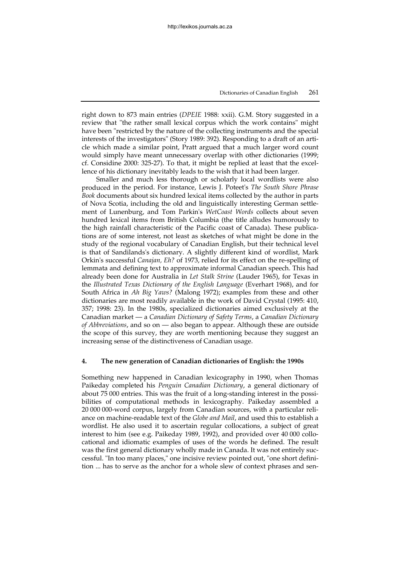right down to 873 main entries (*DPEIE* 1988: xxii). G.M. Story suggested in a review that "the rather small lexical corpus which the work contains" might have been "restricted by the nature of the collecting instruments and the special interests of the investigators" (Story 1989: 392). Responding to a draft of an article which made a similar point, Pratt argued that a much larger word count would simply have meant unnecessary overlap with other dictionaries (1999; cf. Considine 2000: 325-27). To that, it might be replied at least that the excellence of his dictionary inevitably leads to the wish that it had been larger.

Smaller and much less thorough or scholarly local wordlists were also produced in the period. For instance, Lewis J. Poteet's *The South Shore Phrase Book* documents about six hundred lexical items collected by the author in parts of Nova Scotia, including the old and linguistically interesting German settlement of Lunenburg, and Tom Parkin's *WetCoast Words* collects about seven hundred lexical items from British Columbia (the title alludes humorously to the high rainfall characteristic of the Pacific coast of Canada). These publications are of some interest, not least as sketches of what might be done in the study of the regional vocabulary of Canadian English, but their technical level is that of Sandilands's dictionary. A slightly different kind of wordlist, Mark Orkin's successful *Canajan, Eh?* of 1973, relied for its effect on the re-spelling of lemmata and defining text to approximate informal Canadian speech. This had already been done for Australia in *Let Stalk Strine* (Lauder 1965), for Texas in the *Illustrated Texas Dictionary of the English Language* (Everhart 1968), and for South Africa in *Ah Big Yaws?* (Malong 1972); examples from these and other dictionaries are most readily available in the work of David Crystal (1995: 410, 357; 1998: 23). In the 1980s, specialized dictionaries aimed exclusively at the Canadian market — a *Canadian Dictionary of Safety Terms*, a *Canadian Dictionary of Abbreviations*, and so on — also began to appear. Although these are outside the scope of this survey, they are worth mentioning because they suggest an increasing sense of the distinctiveness of Canadian usage.

#### **4. The new generation of Canadian dictionaries of English: the 1990s**

Something new happened in Canadian lexicography in 1990, when Thomas Paikeday completed his *Penguin Canadian Dictionary*, a general dictionary of about 75 000 entries. This was the fruit of a long-standing interest in the possibilities of computational methods in lexicography. Paikeday assembled a 20 000 000-word corpus, largely from Canadian sources, with a particular reliance on machine-readable text of the *Globe and Mail*, and used this to establish a wordlist. He also used it to ascertain regular collocations, a subject of great interest to him (see e.g. Paikeday 1989, 1992), and provided over 40 000 collocational and idiomatic examples of uses of the words he defined. The result was the first general dictionary wholly made in Canada. It was not entirely successful. "In too many places," one incisive review pointed out, "one short definition ... has to serve as the anchor for a whole slew of context phrases and sen-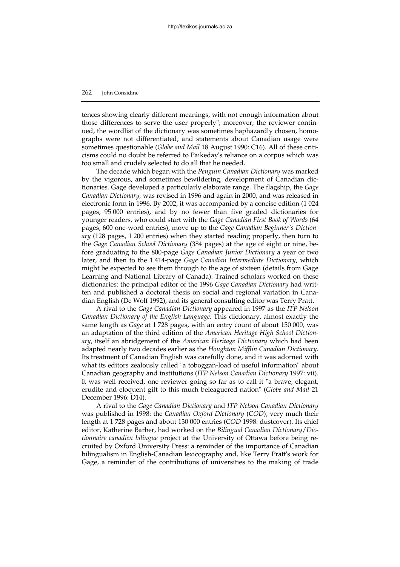tences showing clearly different meanings, with not enough information about those differences to serve the user properly"; moreover, the reviewer continued, the wordlist of the dictionary was sometimes haphazardly chosen, homographs were not differentiated, and statements about Canadian usage were sometimes questionable (*Globe and Mail* 18 August 1990: C16). All of these criticisms could no doubt be referred to Paikeday's reliance on a corpus which was too small and crudely selected to do all that he needed.

The decade which began with the *Penguin Canadian Dictionary* was marked by the vigorous, and sometimes bewildering, development of Canadian dictionaries. Gage developed a particularly elaborate range. The flagship, the *Gage Canadian Dictionary,* was revised in 1996 and again in 2000, and was released in electronic form in 1996. By 2002, it was accompanied by a concise edition (1 024 pages, 95 000 entries), and by no fewer than five graded dictionaries for younger readers, who could start with the *Gage Canadian First Book of Words* (64 pages, 600 one-word entries), move up to the *Gage Canadian Beginner's Dictionary* (128 pages, 1 200 entries) when they started reading properly, then turn to the *Gage Canadian School Dictionary* (384 pages) at the age of eight or nine, before graduating to the 800-page *Gage Canadian Junior Dictionary* a year or two later, and then to the 1 414-page *Gage Canadian Intermediate Dictionary*, which might be expected to see them through to the age of sixteen (details from Gage Learning and National Library of Canada). Trained scholars worked on these dictionaries: the principal editor of the 1996 *Gage Canadian Dictionary* had written and published a doctoral thesis on social and regional variation in Canadian English (De Wolf 1992), and its general consulting editor was Terry Pratt.

A rival to the *Gage Canadian Dictionary* appeared in 1997 as the *ITP Nelson Canadian Dictionary of the English Language*. This dictionary, almost exactly the same length as *Gage* at 1 728 pages, with an entry count of about 150 000, was an adaptation of the third edition of the *American Heritage High School Dictionary*, itself an abridgement of the *American Heritage Dictionary* which had been adapted nearly two decades earlier as the *Houghton Mifflin Canadian Dictionary*. Its treatment of Canadian English was carefully done, and it was adorned with what its editors zealously called "a toboggan-load of useful information" about Canadian geography and institutions (*ITP Nelson Canadian Dictionary* 1997: vii). It was well received, one reviewer going so far as to call it "a brave, elegant, erudite and eloquent gift to this much beleaguered nation" (*Globe and Mail* 21 December 1996: D14).

A rival to the *Gage Canadian Dictionary* and *ITP Nelson Canadian Dictionary* was published in 1998: the *Canadian Oxford Dictionary* (*COD*), very much their length at 1 728 pages and about 130 000 entries (*COD* 1998: dustcover). Its chief editor, Katherine Barber, had worked on the *Bilingual Canadian Dictionary*/*Dictionnaire canadien bilingue* project at the University of Ottawa before being recruited by Oxford University Press: a reminder of the importance of Canadian bilingualism in English-Canadian lexicography and, like Terry Pratt's work for Gage, a reminder of the contributions of universities to the making of trade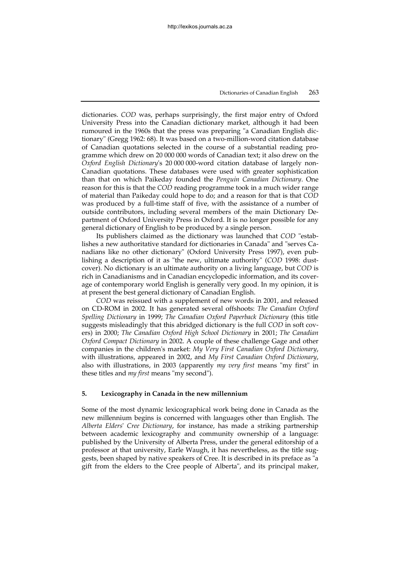dictionaries. *COD* was, perhaps surprisingly, the first major entry of Oxford University Press into the Canadian dictionary market, although it had been rumoured in the 1960s that the press was preparing "a Canadian English dictionary" (Gregg 1962: 68). It was based on a two-million-word citation database of Canadian quotations selected in the course of a substantial reading programme which drew on 20 000 000 words of Canadian text; it also drew on the *Oxford English Dictionary*'s 20 000 000-word citation database of largely non-Canadian quotations. These databases were used with greater sophistication than that on which Paikeday founded the *Penguin Canadian Dictionary*. One reason for this is that the *COD* reading programme took in a much wider range of material than Paikeday could hope to do; and a reason for that is that *COD* was produced by a full-time staff of five, with the assistance of a number of outside contributors, including several members of the main Dictionary Department of Oxford University Press in Oxford. It is no longer possible for any general dictionary of English to be produced by a single person.

Its publishers claimed as the dictionary was launched that *COD* "establishes a new authoritative standard for dictionaries in Canada" and "serves Canadians like no other dictionary" (Oxford University Press 1997), even publishing a description of it as "the new, ultimate authority" (*COD* 1998: dustcover). No dictionary is an ultimate authority on a living language, but *COD* is rich in Canadianisms and in Canadian encyclopedic information, and its coverage of contemporary world English is generally very good. In my opinion, it is at present the best general dictionary of Canadian English.

*COD* was reissued with a supplement of new words in 2001, and released on CD-ROM in 2002. It has generated several offshoots: *The Canadian Oxford Spelling Dictionary* in 1999; *The Canadian Oxford Paperback Dictionary* (this title suggests misleadingly that this abridged dictionary is the full *COD* in soft covers) in 2000; *The Canadian Oxford High School Dictionary* in 2001; *The Canadian Oxford Compact Dictionary* in 2002. A couple of these challenge Gage and other companies in the children's market: *My Very First Canadian Oxford Dictionary*, with illustrations, appeared in 2002, and *My First Canadian Oxford Dictionary*, also with illustrations, in 2003 (apparently *my very first* means "my first" in these titles and *my first* means "my second").

## **5. Lexicography in Canada in the new millennium**

Some of the most dynamic lexicographical work being done in Canada as the new millennium begins is concerned with languages other than English. The *Alberta Elders*' *Cree Dictionary*, for instance, has made a striking partnership between academic lexicography and community ownership of a language: published by the University of Alberta Press, under the general editorship of a professor at that university, Earle Waugh, it has nevertheless, as the title suggests, been shaped by native speakers of Cree. It is described in its preface as "a gift from the elders to the Cree people of Alberta", and its principal maker,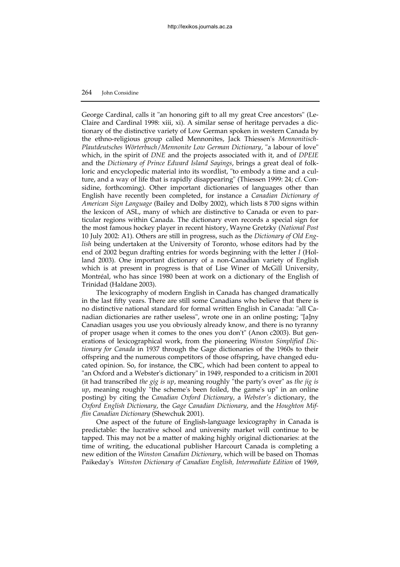George Cardinal, calls it "an honoring gift to all my great Cree ancestors" (Le-Claire and Cardinal 1998: xiii, xi). A similar sense of heritage pervades a dictionary of the distinctive variety of Low German spoken in western Canada by the ethno-religious group called Mennonites, Jack Thiessen's *Mennonitisch-Plautdeutsches Wörterbuch*/*Mennonite Low German Dictionary*, "a labour of love" which, in the spirit of *DNE* and the projects associated with it, and of *DPEIE* and the *Dictionary of Prince Edward Island Sayings*, brings a great deal of folkloric and encyclopedic material into its wordlist, "to embody a time and a culture, and a way of life that is rapidly disappearing" (Thiessen 1999: 24; cf. Considine, forthcoming). Other important dictionaries of languages other than English have recently been completed, for instance a *Canadian Dictionary of American Sign Language* (Bailey and Dolby 2002), which lists 8 700 signs within the lexicon of ASL, many of which are distinctive to Canada or even to particular regions within Canada. The dictionary even records a special sign for the most famous hockey player in recent history, Wayne Gretzky (*National Post* 10 July 2002: A1). Others are still in progress, such as the *Dictionary of Old English* being undertaken at the University of Toronto, whose editors had by the end of 2002 begun drafting entries for words beginning with the letter *I* (Holland 2003). One important dictionary of a non-Canadian variety of English which is at present in progress is that of Lise Winer of McGill University, Montréal, who has since 1980 been at work on a dictionary of the English of Trinidad (Haldane 2003).

The lexicography of modern English in Canada has changed dramatically in the last fifty years. There are still some Canadians who believe that there is no distinctive national standard for formal written English in Canada: "all Canadian dictionaries are rather useless", wrote one in an online posting; "[a]ny Canadian usages you use you obviously already know, and there is no tyranny of proper usage when it comes to the ones you don't" (Anon c2003). But generations of lexicographical work, from the pioneering *Winston Simplified Dictionary for Canada* in 1937 through the Gage dictionaries of the 1960s to their offspring and the numerous competitors of those offspring, have changed educated opinion. So, for instance, the CBC, which had been content to appeal to "an Oxford and a Webster's dictionary" in 1949, responded to a criticism in 2001 (it had transcribed *the gig is up*, meaning roughly "the party's over" as *the jig is up*, meaning roughly "the scheme's been foiled, the game's up" in an online posting) by citing the *Canadian Oxford Dictionary*, a *Webster's* dictionary, the *Oxford English Dictionary*, the *Gage Canadian Dictionary*, and the *Houghton Mifflin Canadian Dictionary* (Shewchuk 2001).

One aspect of the future of English-language lexicography in Canada is predictable: the lucrative school and university market will continue to be tapped. This may not be a matter of making highly original dictionaries: at the time of writing, the educational publisher Harcourt Canada is completing a new edition of the *Winston Canadian Dictionary*, which will be based on Thomas Paikeday's *Winston Dictionary of Canadian English, Intermediate Edition* of 1969,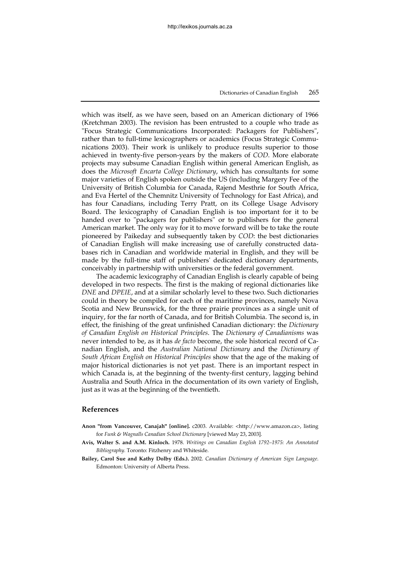which was itself, as we have seen, based on an American dictionary of 1966 (Kretchman 2003). The revision has been entrusted to a couple who trade as "Focus Strategic Communications Incorporated: Packagers for Publishers", rather than to full-time lexicographers or academics (Focus Strategic Communications 2003). Their work is unlikely to produce results superior to those achieved in twenty-five person-years by the makers of *COD*. More elaborate projects may subsume Canadian English within general American English, as does the *Microsoft Encarta College Dictionary*, which has consultants for some major varieties of English spoken outside the US (including Margery Fee of the University of British Columbia for Canada, Rajend Mesthrie for South Africa, and Eva Hertel of the Chemnitz University of Technology for East Africa), and has four Canadians, including Terry Pratt, on its College Usage Advisory Board. The lexicography of Canadian English is too important for it to be handed over to "packagers for publishers" or to publishers for the general American market. The only way for it to move forward will be to take the route pioneered by Paikeday and subsequently taken by *COD*: the best dictionaries of Canadian English will make increasing use of carefully constructed databases rich in Canadian and worldwide material in English, and they will be made by the full-time staff of publishers' dedicated dictionary departments, conceivably in partnership with universities or the federal government.

The academic lexicography of Canadian English is clearly capable of being developed in two respects. The first is the making of regional dictionaries like *DNE* and *DPEIE*, and at a similar scholarly level to these two. Such dictionaries could in theory be compiled for each of the maritime provinces, namely Nova Scotia and New Brunswick, for the three prairie provinces as a single unit of inquiry, for the far north of Canada, and for British Columbia. The second is, in effect, the finishing of the great unfinished Canadian dictionary: the *Dictionary of Canadian English on Historical Principles*. The *Dictionary of Canadianisms* was never intended to be, as it has *de facto* become, the sole historical record of Canadian English, and the *Australian National Dictionary* and the *Dictionary of South African English on Historical Principles* show that the age of the making of major historical dictionaries is not yet past. There is an important respect in which Canada is, at the beginning of the twenty-first century, lagging behind Australia and South Africa in the documentation of its own variety of English, just as it was at the beginning of the twentieth.

#### **References**

- Anon "from Vancouver, Canajah" [online]. c2003. Available: <http://www.amazon.ca>, listing for *Funk & Wagnalls Canadian School Dictionary* [viewed May 23, 2003].
- **Avis, Walter S. and A.M. Kinloch.** 1978. *Writings on Canadian English 1792–1975: An Annotated Bibliography.* Toronto: Fitzhenry and Whiteside.
- **Bailey, Carol Sue and Kathy Dolby (Eds.).** 2002. *Canadian Dictionary of American Sign Language*. Edmonton: University of Alberta Press.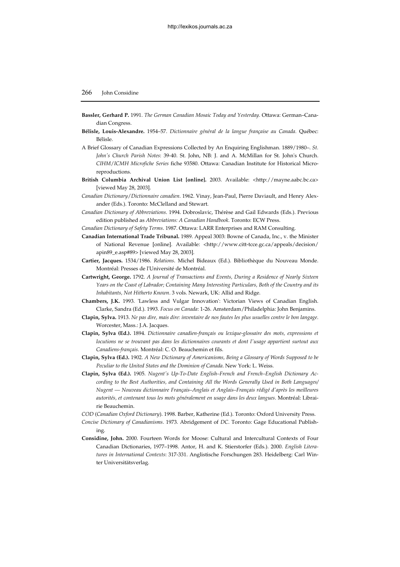- **Bassler, Gerhard P.** 1991. *The German Canadian Mosaic Today and Yesterday*. Ottawa: German–Canadian Congress.
- **Bélisle, Louis-Alexandre.** 1954–57. *Dictionnaire général de la langue française au Canada.* Québec: Bélisle.
- A Brief Glossary of Canadian Expressions Collected by An Enquiring Englishman. 1889/1980–. *St. John's Church Parish Notes*: 39-40. St. John, NB: J. and A. McMillan for St. John's Church. *CIHM*/*ICMH Microfiche Series* fiche 93580. Ottawa: Canadian Institute for Historical Microreproductions.
- **British Columbia Archival Union List [online].** 2003. Available: <http://mayne.aabc.bc.ca> [viewed May 28, 2003].
- *Canadian Dictionary*/*Dictionnaire canadien*. 1962. Vinay, Jean-Paul, Pierre Daviault, and Henry Alexander (Eds.). Toronto: McClelland and Stewart.
- *Canadian Dictionary of Abbreviations*. 1994. Dobroslavic, Thérèse and Gail Edwards (Eds.). Previous edition published as *Abbreviations: A Canadian Handbook*. Toronto: ECW Press.
- *Canadian Dictionary of Safety Terms*. 1987. Ottawa: LARR Enterprises and RAM Consulting.
- **Canadian International Trade Tribunal.** 1989. Appeal 3003: Bowne of Canada, Inc., v. the Minister of National Revenue [online]. Available: <http://www.citt-tcce.gc.ca/appeals/decision/ apin89\_e.asp#89> [viewed May 28, 2003].
- **Cartier, Jacques.** 1534/1986. *Relations*. Michel Bideaux (Ed.). Bibliothèque du Nouveau Monde. Montréal: Presses de l'Université de Montréal.
- **Cartwright, George.** 1792. *A Journal of Transactions and Events, During a Residence of Nearly Sixteen Years on the Coast of Labrador; Containing Many Interesting Particulars, Both of the Country and its Inhabitants, Not Hitherto Known*. 3 vols. Newark, UK: Allid and Ridge.
- **Chambers, J.K.** 1993. 'Lawless and Vulgar Innovation': Victorian Views of Canadian English. Clarke, Sandra (Ed.). 1993. *Focus on Canada*: 1-26. Amsterdam/Philadelphia: John Benjamins.
- **Clapin, Sylva.** 1913. *Ne pas dire, mais dire: inventaire de nos fautes les plus usuelles contre le bon langage*. Worcester, Mass.: J.A. Jacques.
- **Clapin, Sylva (Ed.).** 1894. *Dictionnaire canadien-français ou lexique-glossaire des mots, expressions et locutions ne se trouvant pas dans les dictionnaires courants et dont l'usage appartient surtout aux Canadiens-français*. Montréal: C. O. Beauchemin et fils.
- **Clapin, Sylva (Ed.).** 1902. *A New Dictionary of Americanisms, Being a Glossary of Words Supposed to be Peculiar to the United States and the Dominion of Canada*. New York: L. Weiss.
- **Clapin, Sylva (Ed.).** 1905. *Nugent's Up-To-Date English–French and French–English Dictionary According to the Best Authorities, and Containing All the Words Generally Used in Both Languages/ Nugent — Nouveau dictionnaire Français–Anglais et Anglais–Français rédigé d'après les meilleures autorités, et contenant tous les mots généralement en usage dans les deux langues*. Montréal: Librairie Beauchemin.
- *COD* (*Canadian Oxford Dictionary*). 1998. Barber, Katherine (Ed.). Toronto: Oxford University Press.
- *Concise Dictionary of Canadianisms*. 1973. Abridgement of *DC*. Toronto: Gage Educational Publishing.
- **Considine, John.** 2000. Fourteen Words for Moose: Cultural and Intercultural Contexts of Four Canadian Dictionaries, 1977–1998. Antor, H. and K. Stierstorfer (Eds.). 2000. *English Literatures in International Contexts*: 317-331. Anglistische Forschungen 283. Heidelberg: Carl Winter Universitätsverlag.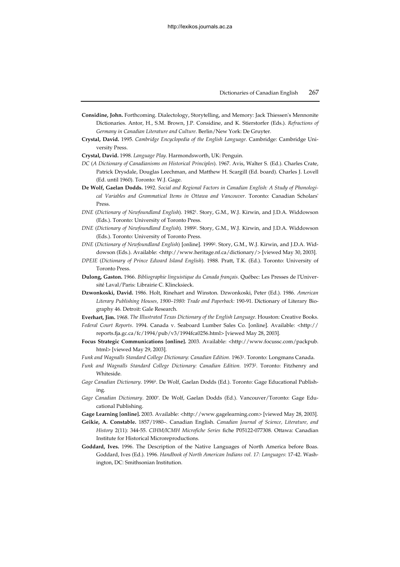- **Considine, John.** Forthcoming. Dialectology, Storytelling, and Memory: Jack Thiessen's Mennonite Dictionaries. Antor, H., S.M. Brown, J.P. Considine, and K. Stierstorfer (Eds.). *Refractions of Germany in Canadian Literature and Culture*. Berlin/New York: De Gruyter.
- **Crystal, David.** 1995. *Cambridge Encyclopedia of the English Language*. Cambridge: Cambridge University Press.

**Crystal, David.** 1998. *Language Play*. Harmondsworth, UK: Penguin.

- *DC* (*A Dictionary of Canadianisms on Historical Principles*). 1967. Avis, Walter S. (Ed.). Charles Crate, Patrick Drysdale, Douglas Leechman, and Matthew H. Scargill (Ed. board). Charles J. Lovell (Ed. until 1960). Toronto: W.J. Gage.
- **De Wolf, Gaelan Dodds.** 1992. *Social and Regional Factors in Canadian English: A Study of Phonological Variables and Grammatical Items in Ottawa and Vancouver*. Toronto: Canadian Scholars' Press.
- *DNE* (*Dictionary of Newfoundland English*). 19821. Story, G.M., W.J. Kirwin, and J.D.A. Widdowson (Eds.). Toronto: University of Toronto Press.
- *DNE* (*Dictionary of Newfoundland English*). 19892. Story, G.M., W.J. Kirwin, and J.D.A. Widdowson (Eds.). Toronto: University of Toronto Press.
- *DNE* (*Dictionary of Newfoundland English*) [online]. 19992. Story, G.M., W.J. Kirwin, and J.D.A. Widdowson (Eds.). Available: <http://www.heritage.nf.ca/dictionary/> [viewed May 30, 2003].
- *DPEIE* (*Dictionary of Prince Edward Island English*). 1988. Pratt, T.K. (Ed.). Toronto: University of Toronto Press.
- **Dulong, Gaston.** 1966. *Bibliographie linguistique du Canada français*. Québec: Les Presses de l'Université Laval/Paris: Librairie C. Klincksieck.
- **Dzwonkoski, David.** 1986. Holt, Rinehart and Winston. Dzwonkoski, Peter (Ed.). 1986. *American Literary Publishing Houses, 1900–1980: Trade and Paperback:* 190-91. Dictionary of Literary Biography 46. Detroit: Gale Research.
- **Everhart, Jim.** 1968. *The Illustrated Texas Dictionary of the English Language*. Houston: Creative Books.
- *Federal Court Reports*. 1994. Canada v. Seaboard Lumber Sales Co. [online]. Available: <http:// reports.fja.gc.ca/fc/1994/pub/v3/1994fca0256.html> [viewed May 28, 2003].
- Focus Strategic Communications [online]. 2003. Available: <http://www.focussc.com/packpub. html> [viewed May 29, 2003].
- *Funk and Wagnalls Standard College Dictionary: Canadian Edition.* 19631. Toronto: Longmans Canada.
- *Funk and Wagnalls Standard College Dictionary: Canadian Edition.* 19732. Toronto: Fitzhenry and Whiteside.
- *Gage Canadian Dictionary*. 19966. De Wolf, Gaelan Dodds (Ed.). Toronto: Gage Educational Publishing.
- *Gage Canadian Dictionary*. 20007. De Wolf, Gaelan Dodds (Ed.). Vancouver/Toronto: Gage Educational Publishing.
- Gage Learning [online]. 2003. Available: <http://www.gagelearning.com> [viewed May 28, 2003].
- **Geikie, A. Constable.** 1857/1980–. Canadian English. *Canadian Journal of Science, Literature, and History* 2(11): 344-55. *CIHM/ICMH Microfiche Series* fiche P05122-077308. Ottawa: Canadian Institute for Historical Microreproductions.
- **Goddard, Ives.** 1996. The Description of the Native Languages of North America before Boas. Goddard, Ives (Ed.). 1996. *Handbook of North American Indians vol. 17: Languages*: 17-42. Washington, DC: Smithsonian Institution.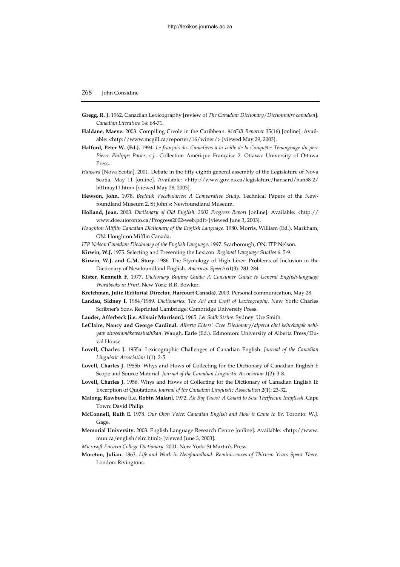- **Gregg, R. J.** 1962. Canadian Lexicography [review of *The Canadian Dictionary*/*Dictionnaire canadien*]. *Canadian Literature* 14: 68-71.
- **Haldane, Maeve.** 2003. Compiling Creole in the Caribbean. *McGill Reporter* 35(16) [online]. Available: <http://www.mcgill.ca/reporter/16/winer/> [viewed May 29, 2003].
- **Halford, Peter W. (Ed.).** 1994. *Le français des Canadiens à la veille de la Conquête: Témoignage du père Pierre Philippe Potier, s.j.*. Collection Amérique Française 2. Ottawa: University of Ottawa Press.
- *Hansard* [Nova Scotia]. 2001. Debate in the fifty-eighth general assembly of the Legislature of Nova Scotia, May 11 [online]. Available: <http://www.gov.ns.ca/legislature/hansard/han58-2/ h01may11.htm> [viewed May 28, 2003].
- **Hewson, John.** 1978. *Beothuk Vocabularies: A Comparative Study*. Technical Papers of the Newfoundland Museum 2. St John's: Newfoundland Museum.
- **Holland, Joan.** 2003. *Dictionary of Old English: 2002 Progress Report* [online]. Available: <http:// www.doe.utoronto.ca/Progress2002-web.pdf> [viewed June 3, 2003].
- *Houghton Mifflin Canadian Dictionary of the English Language*. 1980. Morris, William (Ed.). Markham, ON: Houghton Mifflin Canada.
- *ITP Nelson Canadian Dictionary of the English Language*. 1997. Scarborough, ON: ITP Nelson.
- **Kirwin, W.J.** 1975. Selecting and Presenting the Lexicon. *Regional Language Studies* 6: 5-9.
- **Kirwin, W.J. and G.M. Story.** 1986. The Etymology of High Liner: Problems of Inclusion in the Dictionary of Newfoundland English. *American Speech* 61(3): 281-284.
- **Kister, Kenneth F.** 1977. *Dictionary Buying Guide: A Consumer Guide to General English-language Wordbooks in Print*. New York: R.R. Bowker.
- **Kretchman, Julie (Editorial Director, Harcourt Canada).** 2003. Personal communication, May 28.
- **Landau, Sidney I.** 1984/1989. *Dictionaries: The Art and Craft of Lexicography*. New York: Charles Scribner's Sons. Reprinted Cambridge: Cambridge University Press.
- **Lauder, Afferbeck [i.e. Alistair Morrison].** 1965. *Let Stalk Strine*. Sydney: Ure Smith.
- **LeClaire, Nancy and George Cardinal.** *Alberta Elders' Cree Dictionary*/*alperta ohci kehtehayak nehiyaw otwestamâkewasinahikan*. Waugh, Earle (Ed.). Edmonton: University of Alberta Press/Duval House.
- **Lovell, Charles J.** 1955a. Lexicographic Challenges of Canadian English. *Journal of the Canadian Linguistic Association* 1(1): 2-5.
- **Lovell, Charles J.** 1955b. Whys and Hows of Collecting for the Dictionary of Canadian English I: Scope and Source Material. *Journal of the Canadian Linguistic Association* 1(2): 3-8.
- **Lovell, Charles J.** 1956. Whys and Hows of Collecting for the Dictionary of Canadian English II: Excerption of Quotations. *Journal of the Canadian Linguistic Association* 2(1): 23-32.
- **Malong, Rawbone [i.e. Robin Malan].** 1972. *Ah Big Yaws? A Guard to Sow Theffricun Innglissh*. Cape Town: David Philip.
- **McConnell, Ruth E.** 1978. *Our Own Voice: Canadian English and How it Came to Be*. Toronto: W.J. Gage.
- **Memorial University.** 2003. English Language Research Centre [online]. Available: <http://www. mun.ca/english/elrc.html> [viewed June 3, 2003].

*Microsoft Encarta College Dictionary*. 2001. New York: St Martin's Press.

**Moreton, Julian.** 1863. *Life and Work in Newfoundland: Reminiscences of Thirteen Years Spent There*. London: Rivingtons.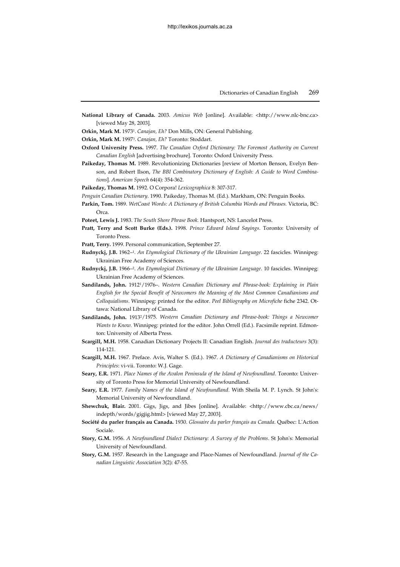- National Library of Canada. 2003. *Amicus Web* [online]. Available: <http://www.nlc-bnc.ca> [viewed May 28, 2003].
- **Orkin, Mark M.** 19731. *Canajan, Eh?* Don Mills, ON: General Publishing.
- **Orkin, Mark M.** 19973. *Canajan, Eh?* Toronto: Stoddart.
- **Oxford University Press.** 1997. *The Canadian Oxford Dictionary: The Foremost Authority on Current Canadian English* [advertising brochure]. Toronto: Oxford University Press.
- **Paikeday, Thomas M.** 1989. Revolutionizing Dictionaries [review of Morton Benson, Evelyn Benson, and Robert Ilson, *The BBI Combinatory Dictionary of English: A Guide to Word Combinations*]. *American Speech* 64(4): 354-362.
- **Paikeday, Thomas M.** 1992. O Corpora! *Lexicographica* 8: 307-317.
- *Penguin Canadian Dictionary*. 1990. Paikeday, Thomas M. (Ed.). Markham, ON: Penguin Books.
- **Parkin, Tom.** 1989. *WetCoast Words: A Dictionary of British Columbia Words and Phrases.* Victoria, BC: Orca.
- **Poteet, Lewis J.** 1983. *The South Shore Phrase Book.* Hantsport, NS: Lancelot Press.
- **Pratt, Terry and Scott Burke (Eds.).** 1998. *Prince Edward Island Sayings*. Toronto: University of Toronto Press.
- **Pratt, Terry.** 1999. Personal communication, September 27.
- **Rudnyckj, J.B.** 1962–1. *An Etymological Dictionary of the Ukrainian Language*. 22 fascicles. Winnipeg: Ukrainian Free Academy of Sciences.
- **Rudnyckj, J.B.** 1966–2. *An Etymological Dictionary of the Ukrainian Language*. 10 fascicles. Winnipeg: Ukrainian Free Academy of Sciences.
- **Sandilands, John.** 19121/1976–. *Western Canadian Dictionary and Phrase-book: Explaining in Plain English for the Special Benefit of Newcomers the Meaning of the Most Common Canadianisms and Colloquialisms*. Winnipeg: printed for the editor. *Peel Bibliography on Microfiche* fiche 2342. Ottawa: National Library of Canada.
- **Sandilands, John.** 19132/1975. *Western Canadian Dictionary and Phrase-book: Things a Newcomer Wants to Know.* Winnipeg: printed for the editor. John Orrell (Ed.). Facsimile reprint. Edmonton: University of Alberta Press.
- **Scargill, M.H.** 1958. Canadian Dictionary Projects II: Canadian English. *Journal des traducteurs* 3(3): 114-121.
- **Scargill, M.H.** 1967. Preface. Avis, Walter S. (Ed.). 1967. *A Dictionary of Canadianisms on Historical Principles*: vi-vii. Toronto: W.J. Gage.
- **Seary, E.R.** 1971. *Place Names of the Avalon Peninsula of the Island of Newfoundland*. Toronto: University of Toronto Press for Memorial University of Newfoundland.
- **Seary, E.R.** 1977. *Family Names of the Island of Newfoundland*. With Sheila M. P. Lynch. St John's: Memorial University of Newfoundland.
- **Shewchuk, Blair.** 2001. Gigs, Jigs, and Jibes [online]. Available: <http://www.cbc.ca/news/ indepth/words/gigjig.html> [viewed May 27, 2003].
- **Société du parler français au Canada.** 1930. *Glossaire du parler français au Canada*. Québec: L'Action Sociale.
- **Story, G.M.** 1956. *A Newfoundland Dialect Dictionary: A Survey of the Problems*. St John's: Memorial University of Newfoundland.
- **Story, G.M.** 1957. Research in the Language and Place-Names of Newfoundland. *Journal of the Canadian Linguistic Association* 3(2): 47-55.